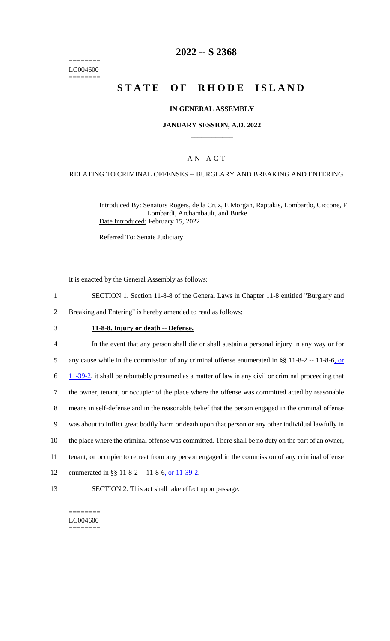======== LC004600  $=$ 

# **2022 -- S 2368**

# **STATE OF RHODE ISLAND**

#### **IN GENERAL ASSEMBLY**

#### **JANUARY SESSION, A.D. 2022 \_\_\_\_\_\_\_\_\_\_\_\_**

#### A N A C T

#### RELATING TO CRIMINAL OFFENSES -- BURGLARY AND BREAKING AND ENTERING

Introduced By: Senators Rogers, de la Cruz, E Morgan, Raptakis, Lombardo, Ciccone, F Lombardi, Archambault, and Burke Date Introduced: February 15, 2022

Referred To: Senate Judiciary

It is enacted by the General Assembly as follows:

- 1 SECTION 1. Section 11-8-8 of the General Laws in Chapter 11-8 entitled "Burglary and
- 2 Breaking and Entering" is hereby amended to read as follows:

#### 3 **11-8-8. Injury or death -- Defense.**

| $\overline{4}$ | In the event that any person shall die or shall sustain a personal injury in any way or for          |
|----------------|------------------------------------------------------------------------------------------------------|
| 5              | any cause while in the commission of any criminal offense enumerated in $\S$ 11-8-2 -- 11-8-6, or    |
| 6              | 11-39-2, it shall be rebuttably presumed as a matter of law in any civil or criminal proceeding that |
| 7              | the owner, tenant, or occupier of the place where the offense was committed acted by reasonable      |
| 8              | means in self-defense and in the reasonable belief that the person engaged in the criminal offense   |
| 9              | was about to inflict great bodily harm or death upon that person or any other individual lawfully in |
| 10             | the place where the criminal offense was committed. There shall be no duty on the part of an owner,  |
| 11             | tenant, or occupier to retreat from any person engaged in the commission of any criminal offense     |
| 12             | enumerated in §§ 11-8-2 -- 11-8-6, or 11-39-2.                                                       |
|                |                                                                                                      |

13 SECTION 2. This act shall take effect upon passage.

======== LC004600 ========